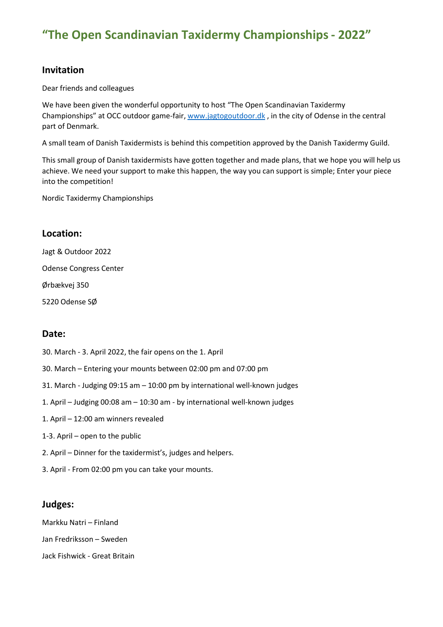## **Invitation**

Dear friends and colleagues

We have been given the wonderful opportunity to host "The Open Scandinavian Taxidermy Championships" at OCC outdoor game-fair, [www.jagtogoutdoor.dk](http://www.jagtogoutdoor.dk/), in the city of Odense in the central part of Denmark.

A small team of Danish Taxidermists is behind this competition approved by the Danish Taxidermy Guild.

This small group of Danish taxidermists have gotten together and made plans, that we hope you will help us achieve. We need your support to make this happen, the way you can support is simple; Enter your piece into the competition!

Nordic Taxidermy Championships

## **Location:**

Jagt & Outdoor 2022 Odense Congress Center Ørbækvej 350

5220 Odense SØ

## **Date:**

- 30. March 3. April 2022, the fair opens on the 1. April
- 30. March Entering your mounts between 02:00 pm and 07:00 pm
- 31. March Judging 09:15 am 10:00 pm by international well-known judges
- 1. April Judging 00:08 am 10:30 am by international well-known judges
- 1. April 12:00 am winners revealed
- 1-3. April open to the public
- 2. April Dinner for the taxidermist's, judges and helpers.
- 3. April From 02:00 pm you can take your mounts.

### **Judges:**

Markku Natri – Finland Jan Fredriksson – Sweden

Jack Fishwick - Great Britain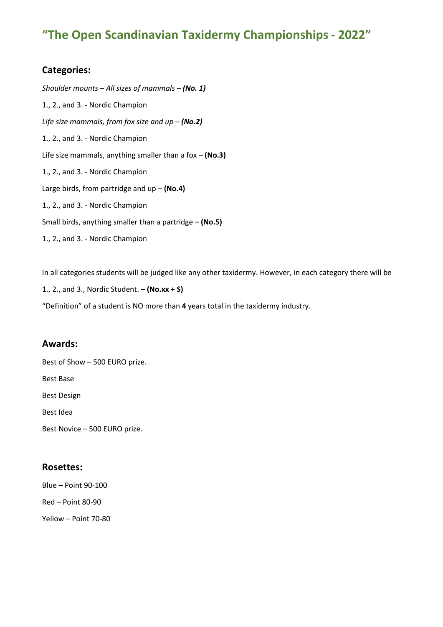## **Categories:**

*Shoulder mounts – All sizes of mammals – (No. 1)* 1., 2., and 3. - Nordic Champion *Life size mammals, from fox size and up – (No.2)* 1., 2., and 3. - Nordic Champion Life size mammals, anything smaller than a fox – **(No.3)** 1., 2., and 3. - Nordic Champion Large birds, from partridge and up – **(No.4)** 1., 2., and 3. - Nordic Champion Small birds, anything smaller than a partridge – **(No.5)** 1., 2., and 3. - Nordic Champion

In all categories students will be judged like any other taxidermy. However, in each category there will be

1., 2., and 3., Nordic Student. – **(No.xx + S)**

"Definition" of a student is NO more than **4** years total in the taxidermy industry.

### **Awards:**

Best of Show – 500 EURO prize. Best Base Best Design Best Idea Best Novice – 500 EURO prize.

### **Rosettes:**

Blue – Point 90-100 Red – Point 80-90 Yellow – Point 70-80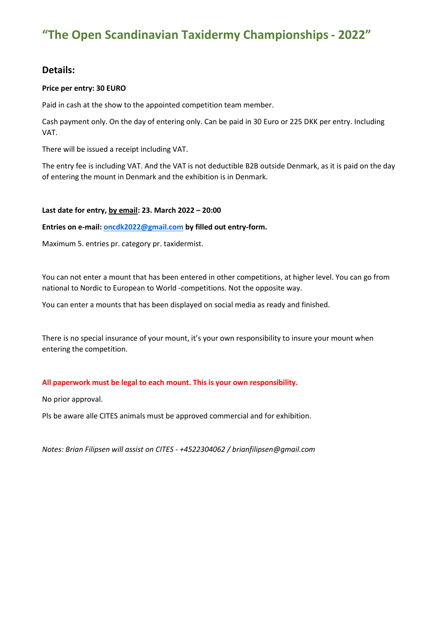## **Details:**

#### **Price per entry: 30 EURO**

Paid in cash at the show to the appointed competition team member.

Cash payment only. On the day of entering only. Can be paid in 30 Euro or 225 DKK per entry. Including VAT.

There will be issued a receipt including VAT.

The entry fee is including VAT. And the VAT is not deductible B2B outside Denmark, as it is paid on the day of entering the mount in Denmark and the exhibition is in Denmark.

#### **Last date for entry, by email: 23. March 2022 – 20:00**

**Entries on e-mail: [oncdk2022@gmail.com](mailto:oncdk2022@gmail.com) by filled out entry-form.**

Maximum 5. entries pr. category pr. taxidermist.

You can not enter a mount that has been entered in other competitions, at higher level. You can go from national to Nordic to European to World -competitions. Not the opposite way.

You can enter a mounts that has been displayed on social media as ready and finished.

There is no special insurance of your mount, it's your own responsibility to insure your mount when entering the competition.

#### **All paperwork must be legal to each mount. This is your own responsibility.**

No prior approval.

Pls be aware alle CITES animals must be approved commercial and for exhibition.

*Notes: Brian Filipsen will assist on CITES - +4522304062 / brianfilipsen@gmail.com*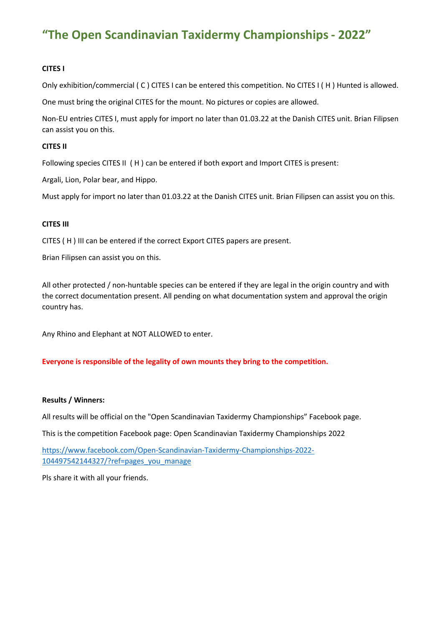#### **CITES I**

Only exhibition/commercial ( C ) CITES I can be entered this competition. No CITES I ( H ) Hunted is allowed.

One must bring the original CITES for the mount. No pictures or copies are allowed.

Non-EU entries CITES I, must apply for import no later than 01.03.22 at the Danish CITES unit. Brian Filipsen can assist you on this.

#### **CITES II**

Following species CITES II (H) can be entered if both export and Import CITES is present:

Argali, Lion, Polar bear, and Hippo.

Must apply for import no later than 01.03.22 at the Danish CITES unit. Brian Filipsen can assist you on this.

#### **CITES III**

CITES ( H ) III can be entered if the correct Export CITES papers are present.

Brian Filipsen can assist you on this.

All other protected / non-huntable species can be entered if they are legal in the origin country and with the correct documentation present. All pending on what documentation system and approval the origin country has.

Any Rhino and Elephant at NOT ALLOWED to enter.

#### **Everyone is responsible of the legality of own mounts they bring to the competition.**

#### **Results / Winners:**

All results will be official on the "Open Scandinavian Taxidermy Championships" Facebook page.

This is the competition Facebook page: Open Scandinavian Taxidermy Championships 2022

[https://www.facebook.com/Open-Scandinavian-Taxidermy-Championships-2022-](https://www.facebook.com/Open-Scandinavian-Taxidermy-Championships-2022-104497542144327/?ref=pages_you_manage) [104497542144327/?ref=pages\\_you\\_manage](https://www.facebook.com/Open-Scandinavian-Taxidermy-Championships-2022-104497542144327/?ref=pages_you_manage)

Pls share it with all your friends.